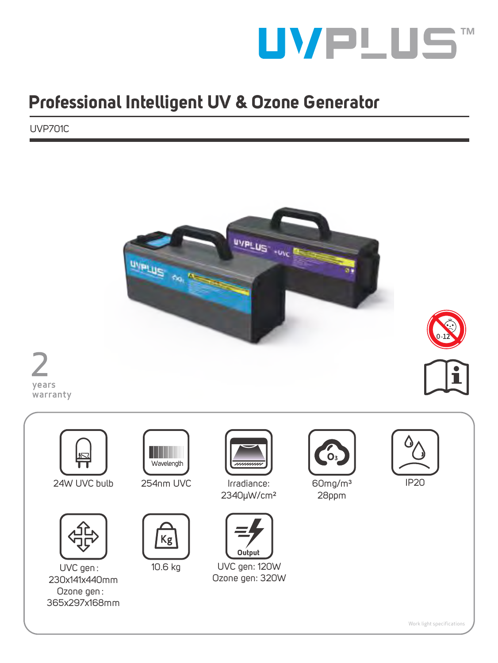

# **Professional Intelligent UV & Ozone Generator**

UVP701C

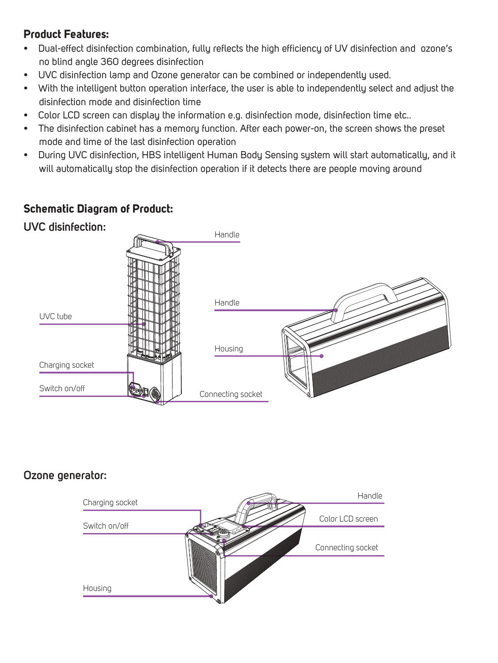#### **Product Features:**

- Dual-effect disinfection combination, fully reflects the high efficiency of UV disinfection and ozone's no blind angle 360 degrees disinfection
- UVC disinfection lamp and Ozone generator can be combined or independently used.
- With the intelligent button operation interface, the user is able to independently select and adjust the disinfection mode and disinfection time
- Color LCD screen can display the information e.g. disinfection mode, disinfection time etc..
- The disinfection cabinet has a memory function. After each power-on, the screen shows the preset mode and time of the last disinfection operation
- During UVC disinfection, HBS intelligent Human Body Sensing system will start automatically, and it will automatically stop the disinfection operation if it detects there are people moving around

### **Schematic Diagram of Product:**



### **Ozone generator:**

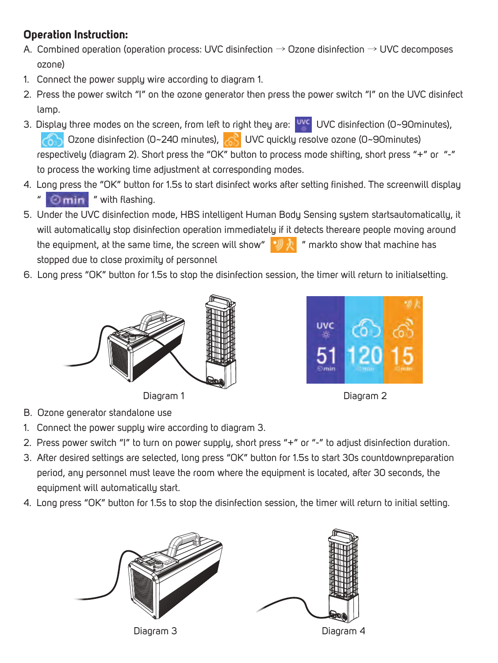### **Operation Instruction:**

- A. Combined operation (operation process: UVC disinfection → Ozone disinfection → UVC decomposes ozone)
- 1. Connect the power supply wire according to diagram 1.
- 2. Press the power switch "I" on the ozone generator then press the power switch "I" on the UVC disinfect lamp.
- 3. Display three modes on the screen, from left to right they are: UVC disinfection (0~90minutes), Ozone disinfection (0~240 minutes), UVC quickly resolve ozone (0~90minutes) respectively (diagram 2). Short press the "OK" button to process mode shifting, short press "+" or "-" to process the working time adjustment at corresponding modes.
- 4. Long press the "OK" button for 1.5s to start disinfect works after setting finished. The screenwill display **Omin** " with flashing.
- 5. Under the UVC disinfection mode, HBS intelligent Human Body Sensing system startsautomatically, it will automatically stop disinfection operation immediately if it detects thereare people moving around the equipment, at the same time, the screen will show"  $\cup$   $\mathcal{F}$  " markto show that machine has stopped due to close proximity of personnel
- 6. Long press "OK" button for 1.5s to stop the disinfection session, the timer will return to initialsetting.







- B. Ozone generator standalone use
- 1. Connect the power supply wire according to diagram 3.
- 2. Press power switch "I" to turn on power supply, short press "+" or "-" to adjust disinfection duration.
- 3. After desired settings are selected, long press "OK" button for 1.5s to start 30s countdownpreparation period, any personnel must leave the room where the equipment is located, after 30 seconds, the equipment will automatically start.
- 4. Long press "OK" button for 1.5s to stop the disinfection session, the timer will return to initial setting.

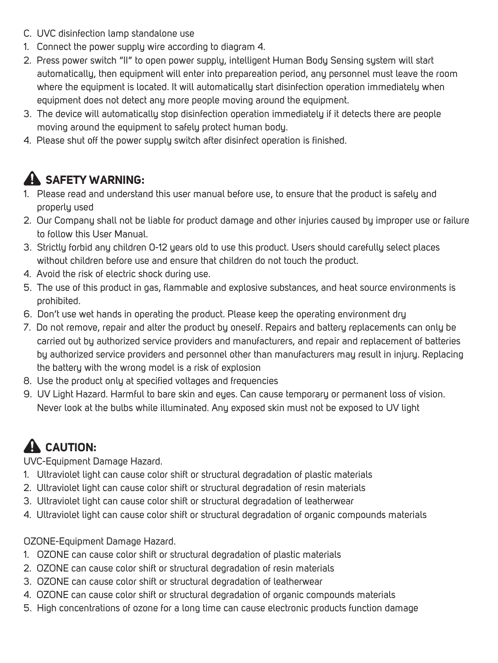- C. UVC disinfection lamp standalone use
- 1. Connect the power supply wire according to diagram 4.
- 2. Press power switch "II" to open power supply, intelligent Human Body Sensing system will start automatically, then equipment will enter into prepareation period, any personnel must leave the room where the equipment is located. It will automatically start disinfection operation immediately when equipment does not detect any more people moving around the equipment.
- 3. The device will automatically stop disinfection operation immediately if it detects there are people moving around the equipment to safely protect human body.
- 4. Please shut off the power supply switch after disinfect operation is finished.

## **A** SAFETY WARNING:

- 1. Please read and understand this user manual before use, to ensure that the product is safely and properly used
- 2. Our Company shall not be liable for product damage and other injuries caused by improper use or failure to follow this User Manual.
- 3. Strictly forbid any children 0-12 years old to use this product. Users should carefully select places without children before use and ensure that children do not touch the product.
- 4. Avoid the risk of electric shock during use.
- 5. The use of this product in gas, flammable and explosive substances, and heat source environments is prohibited.
- 6. Don't use wet hands in operating the product. Please keep the operating environment dry
- 7. Do not remove, repair and alter the product by oneself. Repairs and battery replacements can only be carried out by authorized service providers and manufacturers, and repair and replacement of batteries by authorized service providers and personnel other than manufacturers may result in injury. Replacing the battery with the wrong model is a risk of explosion
- 8. Use the product only at specified voltages and frequencies
- 9. UV Light Hazard. Harmful to bare skin and eyes. Can cause temporary or permanent loss of vision. Never look at the bulbs while illuminated. Any exposed skin must not be exposed to UV light

# **A** CAUTION:

UVC-Equipment Damage Hazard.

- 1. Ultraviolet light can cause color shift or structural degradation of plastic materials
- 2. Ultraviolet light can cause color shift or structural degradation of resin materials
- 3. Ultraviolet light can cause color shift or structural degradation of leatherwear
- 4. Ultraviolet light can cause color shift or structural degradation of organic compounds materials

OZONE-Equipment Damage Hazard.

- 1. OZONE can cause color shift or structural degradation of plastic materials
- 2. OZONE can cause color shift or structural degradation of resin materials
- 3. OZONE can cause color shift or structural degradation of leatherwear
- 4. OZONE can cause color shift or structural degradation of organic compounds materials
- 5. High concentrations of ozone for a long time can cause electronic products function damage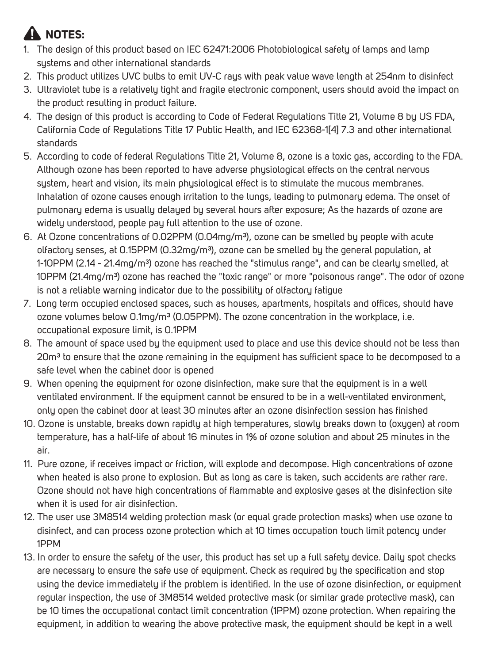## **A** NOTES:

- 1. The design of this product based on IEC 62471:2006 Photobiological safety of lamps and lamp sustems and other international standards
- 2. This product utilizes UVC bulbs to emit UV-C raus with peak value wave length at 254nm to disinfect
- 3. Ultraviolet tube is a relatively tight and fragile electronic component, users should avoid the impact on the product resulting in product failure.
- 4. The design of this product is according to Code of Federal Regulations Title 21, Volume 8 by US FDA, California Code of Regulations Title 17 Public Health, and IEC 62368-1[4] 7.3 and other international standards
- 5. According to code of federal Regulations Title 21, Volume 8, ozone is a toxic gas, according to the FDA. Although ozone has been reported to have adverse physiological effects on the central nervous system, heart and vision, its main physiological effect is to stimulate the mucous membranes. Inhalation of ozone causes enough irritation to the lungs, leading to pulmonary edema. The onset of pulmonary edema is usually delayed by several hours after exposure; As the hazards of ozone are widely understood, people pay full attention to the use of ozone.
- 6. At Ozone concentrations of 0.02PPM (0.04mg/m<sup>3</sup>), ozone can be smelled by people with acute olfactory senses, at 0.15PPM (0.32mg/m<sup>3</sup>), ozone can be smelled by the general population, at 1-10PPM (2.14 - 21.4mg/m<sup>3</sup>) ozone has reached the "stimulus range", and can be clearly smelled, at 10PPM (21.4mg/m³) ozone has reached the "toxic range" or more "poisonous range". The odor of ozone is not a reliable warning indicator due to the possibility of olfactory fatigue
- 7. Long term occupied enclosed spaces, such as houses, apartments, hospitals and offices, should have ozone volumes below 0.1mg/m<sup>3</sup> (0.05PPM). The ozone concentration in the workplace, i.e. occupational exposure limit, is 0.1PPM
- 8. The amount of space used by the equipment used to place and use this device should not be less than 20m<sup>3</sup> to ensure that the ozone remaining in the equipment has sufficient space to be decomposed to a safe level when the cabinet door is opened
- 9. When opening the equipment for ozone disinfection, make sure that the equipment is in a well ventilated environment. If the equipment cannot be ensured to be in a well-ventilated environment, only open the cabinet door at least 30 minutes after an ozone disinfection session has finished
- 10. Ozone is unstable, breaks down rapidly at high temperatures, slowly breaks down to (oxygen) at room temperature, has a half-life of about 16 minutes in 1% of ozone solution and about 25 minutes in the air.
- 11. Pure ozone, if receives impact or friction, will explode and decompose. High concentrations of ozone when heated is also prone to explosion. But as long as care is taken, such accidents are rather rare. Ozone should not have high concentrations of flammable and explosive gases at the disinfection site when it is used for air disinfection.
- 12. The user use 3M8514 welding protection mask (or equal grade protection masks) when use ozone to disinfect, and can process ozone protection which at 10 times occupation touch limit potency under 1PPM
- 13. In order to ensure the safety of the user, this product has set up a full safety device. Daily spot checks are necessary to ensure the safe use of equipment. Check as required by the specification and stop using the device immediately if the problem is identified. In the use of ozone disinfection, or equipment regular inspection, the use of 3M8514 welded protective mask (or similar grade protective mask), can be 10 times the occupational contact limit concentration (1PPM) ozone protection. When repairing the equipment, in addition to wearing the above protective mask, the equipment should be kept in a well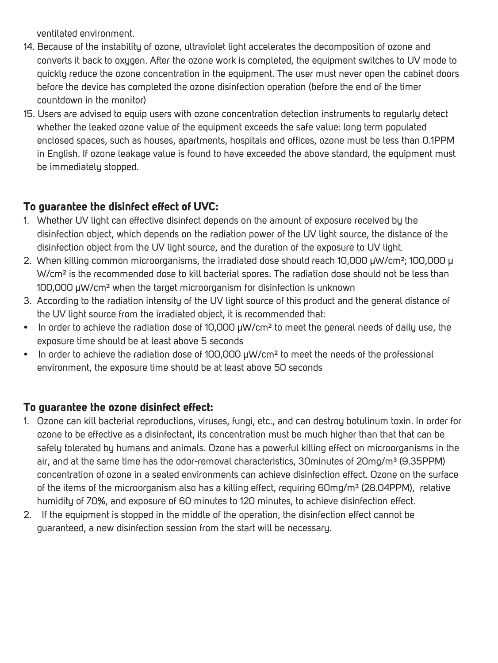ventilated environment.

- 14. Because of the instability of ozone, ultraviolet light accelerates the decomposition of ozone and converts it back to oxygen. After the ozone work is completed, the equipment switches to UV mode to quickly reduce the ozone concentration in the equipment. The user must never open the cabinet doors before the device has completed the ozone disinfection operation (before the end of the timer countdown in the monitor)
- 15. Users are advised to equip users with ozone concentration detection instruments to regularly detect whether the leaked ozone value of the equipment exceeds the safe value: long term populated enclosed spaces, such as houses, apartments, hospitals and offices, ozone must be less than 0.1PPM in English. If ozone leakage value is found to have exceeded the above standard, the equipment must be immediately stopped.

### **To guarantee the disinfect effect of UVC:**

- 1. Whether UV light can effective disinfect depends on the amount of exposure received by the disinfection object, which depends on the radiation power of the UV light source, the distance of the disinfection object from the UV light source, and the duration of the exposure to UV light.
- 2. When killing common microorganisms, the irradiated dose should reach 10,000 μW/cm²; 100,000 μ W/cm² is the recommended dose to kill bacterial spores. The radiation dose should not be less than 100,000 μW/cm² when the target microorganism for disinfection is unknown
- 3. According to the radiation intensity of the UV light source of this product and the general distance of the UV light source from the irradiated object, it is recommended that:
- In order to achieve the radiation dose of 10,000 μW/cm² to meet the general needs of daily use, the exposure time should be at least above 5 seconds
- In order to achieve the radiation dose of 100,000 μW/cm² to meet the needs of the professional environment, the exposure time should be at least above 50 seconds

#### **To guarantee the ozone disinfect effect:**

- 1. Ozone can kill bacterial reproductions, viruses, fungi, etc., and can destroy botulinum toxin. In order for ozone to be effective as a disinfectant, its concentration must be much higher than that that can be safely tolerated by humans and animals. Ozone has a powerful killing effect on microorganisms in the air, and at the same time has the odor-removal characteristics, 30minutes of 20mg/m<sup>3</sup> (9.35PPM) concentration of ozone in a sealed environments can achieve disinfection effect. Ozone on the surface of the items of the microorganism also has a killing effect, requiring 60mg/m<sup>3</sup> (28.04PPM), relative humidity of 70%, and exposure of 60 minutes to 120 minutes, to achieve disinfection effect.
- 2. If the equipment is stopped in the middle of the operation, the disinfection effect cannot be guaranteed, a new disinfection session from the start will be necessary.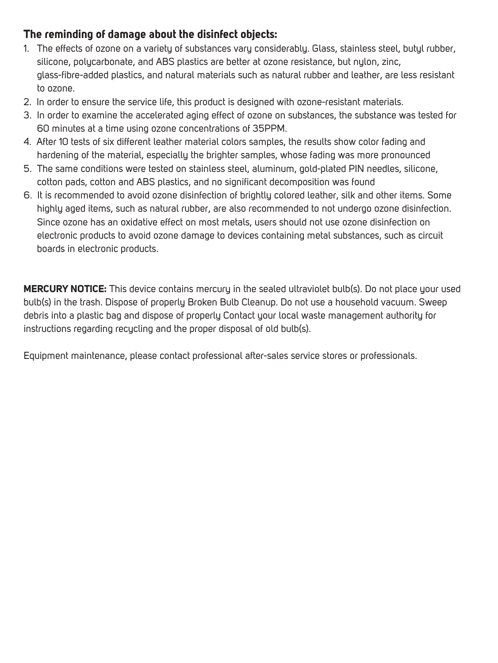### **The reminding of damage about the disinfect objects:**

- 1. The effects of ozone on a variety of substances vary considerably. Glass, stainless steel, butyl rubber, silicone, polycarbonate, and ABS plastics are better at ozone resistance, but nylon, zinc, glass-fibre-added plastics, and natural materials such as natural rubber and leather, are less resistant to ozone.
- 2. In order to ensure the service life, this product is designed with ozone-resistant materials.
- 3. In order to examine the accelerated aging effect of ozone on substances, the substance was tested for 60 minutes at a time using ozone concentrations of 35PPM.
- 4. After 10 tests of six different leather material colors samples, the results show color fading and hardening of the material, especially the brighter samples, whose fading was more pronounced
- 5. The same conditions were tested on stainless steel, aluminum, gold-plated PIN needles, silicone, cotton pads, cotton and ABS plastics, and no significant decomposition was found
- 6. It is recommended to avoid ozone disinfection of brightly colored leather, silk and other items. Some highly aged items, such as natural rubber, are also recommended to not undergo ozone disinfection. Since ozone has an oxidative effect on most metals, users should not use ozone disinfection on electronic products to avoid ozone damage to devices containing metal substances, such as circuit boards in electronic products.

**MERCURY NOTICE:** This device contains mercury in the sealed ultraviolet bulb(s). Do not place your used bulb(s) in the trash. Dispose of properly Broken Bulb Cleanup. Do not use a household vacuum. Sweep debris into a plastic bag and dispose of properly Contact your local waste management authority for instructions regarding recycling and the proper disposal of old bulb(s).

Equipment maintenance, please contact professional after-sales service stores or professionals.